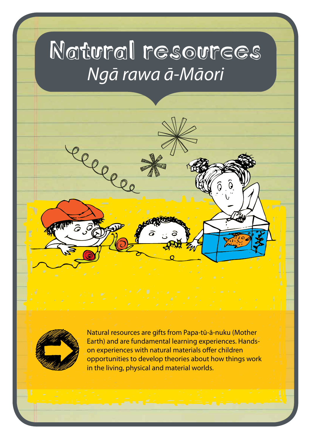# Natural resources *Ngā rawa ā-Māori*

leeve



Natural resources are gifts from Papa-tū-ā-nuku (Mother Earth) and are fundamental learning experiences. Handson experiences with natural materials offer children opportunities to develop theories about how things work in the living, physical and material worlds.